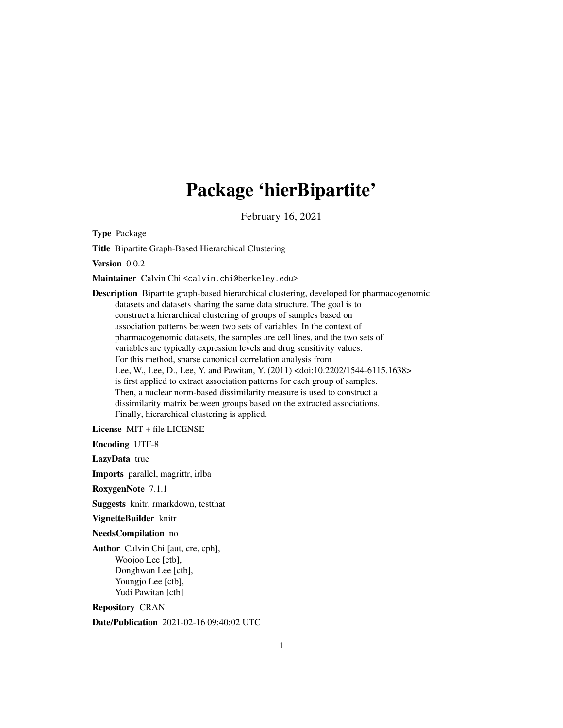# Package 'hierBipartite'

February 16, 2021

Type Package

Title Bipartite Graph-Based Hierarchical Clustering

Version 0.0.2

Maintainer Calvin Chi <calvin.chi@berkeley.edu>

Description Bipartite graph-based hierarchical clustering, developed for pharmacogenomic datasets and datasets sharing the same data structure. The goal is to construct a hierarchical clustering of groups of samples based on association patterns between two sets of variables. In the context of pharmacogenomic datasets, the samples are cell lines, and the two sets of variables are typically expression levels and drug sensitivity values. For this method, sparse canonical correlation analysis from Lee, W., Lee, D., Lee, Y. and Pawitan, Y. (2011) <doi:10.2202/1544-6115.1638> is first applied to extract association patterns for each group of samples. Then, a nuclear norm-based dissimilarity measure is used to construct a dissimilarity matrix between groups based on the extracted associations. Finally, hierarchical clustering is applied.

License MIT + file LICENSE

Encoding UTF-8

LazyData true

Imports parallel, magrittr, irlba

RoxygenNote 7.1.1

Suggests knitr, rmarkdown, testthat

VignetteBuilder knitr

NeedsCompilation no

Author Calvin Chi [aut, cre, cph], Woojoo Lee [ctb], Donghwan Lee [ctb], Youngjo Lee [ctb], Yudi Pawitan [ctb]

Repository CRAN

Date/Publication 2021-02-16 09:40:02 UTC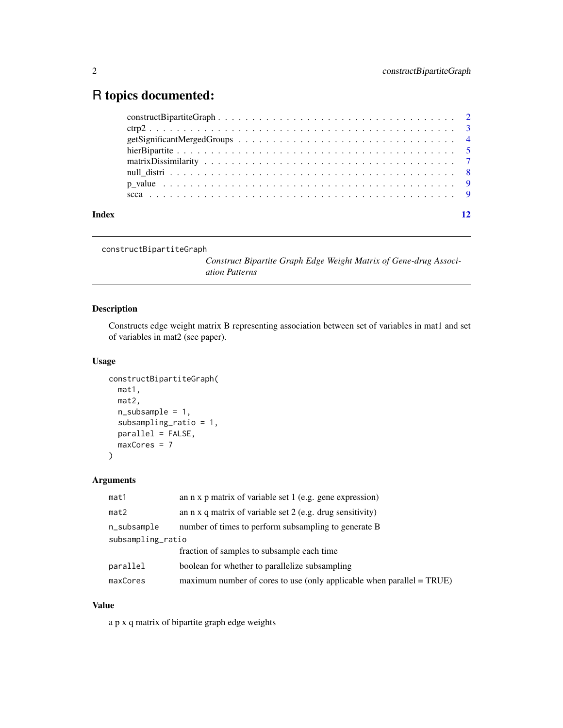## <span id="page-1-0"></span>R topics documented:

| Index |                                                                                                                                                                                                                                |  |
|-------|--------------------------------------------------------------------------------------------------------------------------------------------------------------------------------------------------------------------------------|--|
|       |                                                                                                                                                                                                                                |  |
|       |                                                                                                                                                                                                                                |  |
|       | null distribution in a series of the series of the series of the series of the series of the series of the series of the series of the series of the series of the series of the series of the series of the series of the ser |  |
|       |                                                                                                                                                                                                                                |  |
|       |                                                                                                                                                                                                                                |  |
|       |                                                                                                                                                                                                                                |  |
|       |                                                                                                                                                                                                                                |  |
|       |                                                                                                                                                                                                                                |  |

```
constructBipartiteGraph
```
*Construct Bipartite Graph Edge Weight Matrix of Gene-drug Association Patterns*

#### Description

Constructs edge weight matrix B representing association between set of variables in mat1 and set of variables in mat2 (see paper).

#### Usage

```
constructBipartiteGraph(
 mat1,
 mat2,
 n_subsample = 1,
  subsampling_ratio = 1,
 parallel = FALSE,
 maxCores = 7
)
```
#### Arguments

| mat1              | an $n \times p$ matrix of variable set 1 (e.g. gene expression)                 |  |
|-------------------|---------------------------------------------------------------------------------|--|
| mat2              | an $n \times q$ matrix of variable set 2 (e.g. drug sensitivity)                |  |
| n_subsample       | number of times to perform subsampling to generate B                            |  |
| subsampling_ratio |                                                                                 |  |
|                   | fraction of samples to subsample each time                                      |  |
| parallel          | boolean for whether to parallelize subsampling                                  |  |
| maxCores          | maximum number of cores to use (only applicable when parallel $= \text{TRUE}$ ) |  |

#### Value

a p x q matrix of bipartite graph edge weights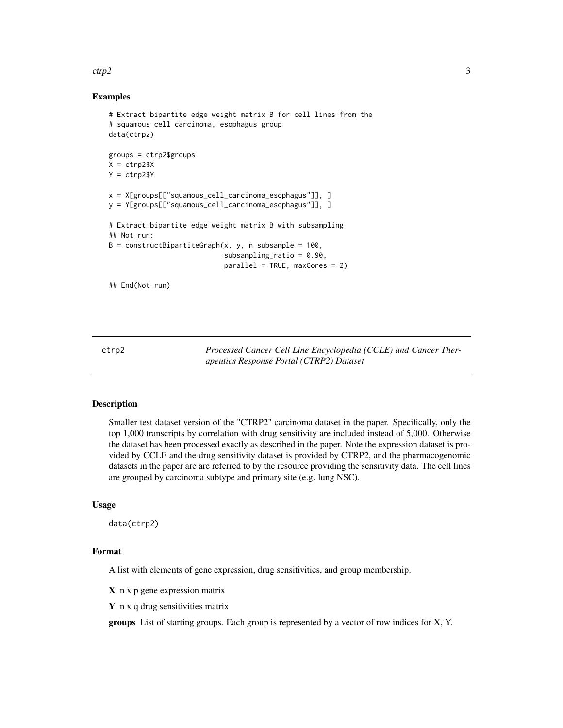#### <span id="page-2-0"></span> $ctrp2$  3

#### Examples

```
# Extract bipartite edge weight matrix B for cell lines from the
# squamous cell carcinoma, esophagus group
data(ctrp2)
groups = ctrp2$groups
X = ctrp2$XY = ctrp2$Yx = X[groups[["squamous_cell_carcinoma_esophagus"]], ]
y = Y[groups[["squamous_cell_carcinoma_esophagus"]], ]
# Extract bipartite edge weight matrix B with subsampling
## Not run:
B = constructBipartiteGraph(x, y, n_subsample = 100,
                            subsampling_ratio = 0.90,
                            parallel = TRUE, maxCores = 2)
## End(Not run)
```
ctrp2 *Processed Cancer Cell Line Encyclopedia (CCLE) and Cancer Therapeutics Response Portal (CTRP2) Dataset*

#### Description

Smaller test dataset version of the "CTRP2" carcinoma dataset in the paper. Specifically, only the top 1,000 transcripts by correlation with drug sensitivity are included instead of 5,000. Otherwise the dataset has been processed exactly as described in the paper. Note the expression dataset is provided by CCLE and the drug sensitivity dataset is provided by CTRP2, and the pharmacogenomic datasets in the paper are are referred to by the resource providing the sensitivity data. The cell lines are grouped by carcinoma subtype and primary site (e.g. lung NSC).

#### Usage

data(ctrp2)

#### Format

A list with elements of gene expression, drug sensitivities, and group membership.

 $X$  n x p gene expression matrix

 $Y$  n x q drug sensitivities matrix

groups List of starting groups. Each group is represented by a vector of row indices for X, Y.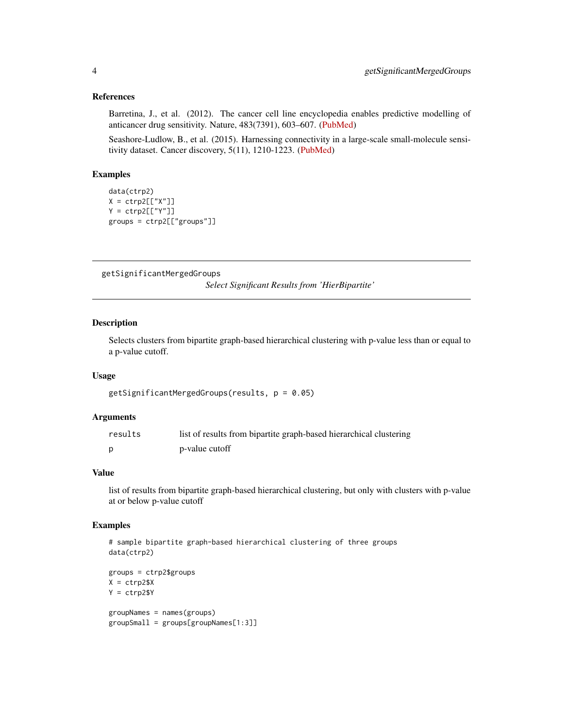#### <span id="page-3-0"></span>References

Barretina, J., et al. (2012). The cancer cell line encyclopedia enables predictive modelling of anticancer drug sensitivity. Nature, 483(7391), 603–607. [\(PubMed\)](https://pubmed.ncbi.nlm.nih.gov/22460905)

Seashore-Ludlow, B., et al. (2015). Harnessing connectivity in a large-scale small-molecule sensitivity dataset. Cancer discovery, 5(11), 1210-1223. [\(PubMed\)](https://pubmed.ncbi.nlm.nih.gov/26482930)

#### Examples

```
data(ctrp2)
X = \text{ctrp2}[["X"]Y = \text{ctrp2}[["Y"]groups = ctrp2[["groups"]]
```
getSignificantMergedGroups

*Select Significant Results from 'HierBipartite'*

#### Description

Selects clusters from bipartite graph-based hierarchical clustering with p-value less than or equal to a p-value cutoff.

#### Usage

getSignificantMergedGroups(results, p = 0.05)

#### **Arguments**

| results | list of results from bipartite graph-based hierarchical clustering |
|---------|--------------------------------------------------------------------|
|         | p-value cutoff                                                     |

#### Value

list of results from bipartite graph-based hierarchical clustering, but only with clusters with p-value at or below p-value cutoff

```
# sample bipartite graph-based hierarchical clustering of three groups
data(ctrp2)
groups = ctrp2$groups
```

```
X = \text{ctrp2$}XY = ctrp2$YgroupNames = names(groups)
groupSmall = groups[groupNames[1:3]]
```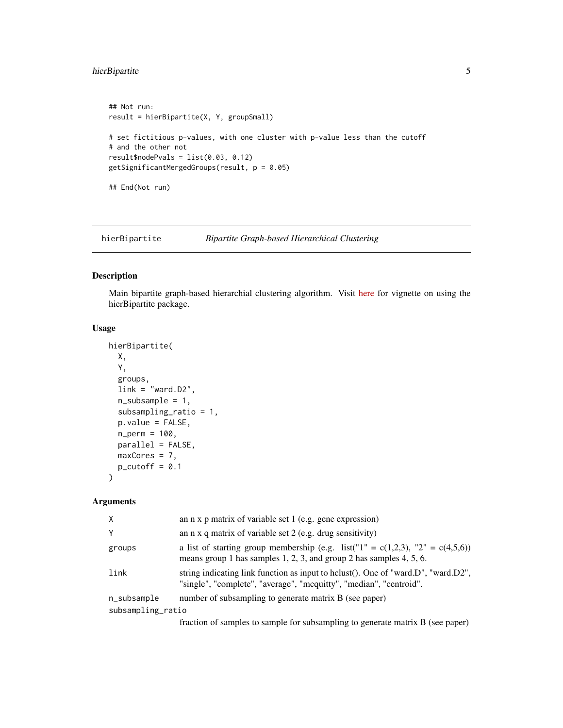#### <span id="page-4-0"></span>hierBipartite 5

```
## Not run:
result = hierBipartite(X, Y, groupSmall)
# set fictitious p-values, with one cluster with p-value less than the cutoff
# and the other not
result$nodePvals = list(0.03, 0.12)
getSignificantMergedGroups(result, p = 0.05)
## End(Not run)
```
hierBipartite *Bipartite Graph-based Hierarchical Clustering*

#### Description

Main bipartite graph-based hierarchial clustering algorithm. Visit [here](https://calvintchi.github.io/html/hierBipartite) for vignette on using the hierBipartite package.

#### Usage

```
hierBipartite(
  X,
  Y,
  groups,
  link = "ward.D2",n_subsample = 1,
  subsampling_ratio = 1,
  p.value = FALSE,
  n_perm = 100,
  parallel = FALSE,
  maxCores = 7,
  p_{\text{cutoff}} = 0.1\lambda
```
#### Arguments

| X                 | an $n \times p$ matrix of variable set 1 (e.g. gene expression)                                                                                                     |  |
|-------------------|---------------------------------------------------------------------------------------------------------------------------------------------------------------------|--|
| Y                 | an $n \times q$ matrix of variable set 2 (e.g. drug sensitivity)                                                                                                    |  |
| groups            | a list of starting group membership (e.g. list(" $1" = c(1,2,3)$ , " $2" = c(4,5,6)$ )<br>means group 1 has samples $1, 2, 3$ , and group 2 has samples $4, 5, 6$ . |  |
| link              | string indicating link function as input to helust(). One of "ward.D", "ward.D2",<br>"single", "complete", "average", "mcquitty", "median", "centroid".             |  |
| n_subsample       | number of subsampling to generate matrix B (see paper)                                                                                                              |  |
| subsampling_ratio |                                                                                                                                                                     |  |
|                   | $\mathcal{C}$ , and the set of the set of $\mathcal{C}$                                                                                                             |  |

fraction of samples to sample for subsampling to generate matrix B (see paper)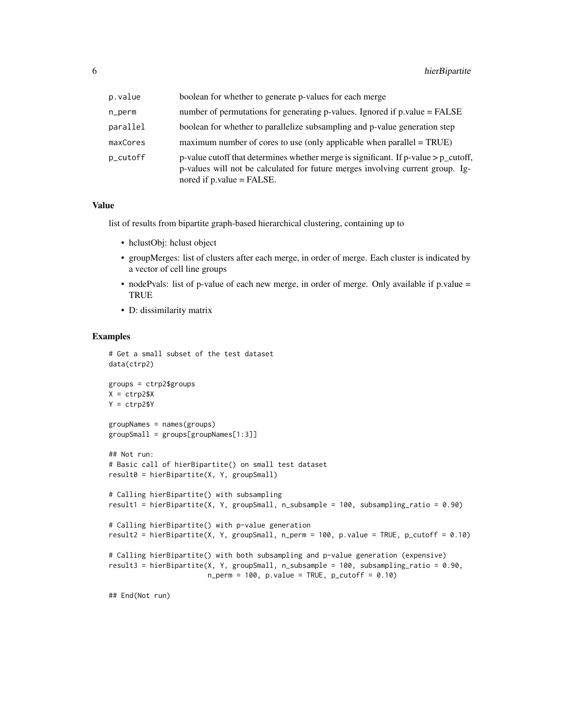| p.value  | boolean for whether to generate p-values for each merge                                                                                                                                                 |
|----------|---------------------------------------------------------------------------------------------------------------------------------------------------------------------------------------------------------|
| n_perm   | number of permutations for generating p-values. Ignored if p.value = FALSE                                                                                                                              |
| parallel | boolean for whether to parallelize subsampling and p-value generation step                                                                                                                              |
| maxCores | maximum number of cores to use (only applicable when parallel $= TRUE$ )                                                                                                                                |
| p_cutoff | p-value cutoff that determines whether merge is significant. If p-value $> p$ cutoff,<br>p-values will not be calculated for future merges involving current group. Ig-<br>nored if $p.value = FALSE$ . |

#### Value

list of results from bipartite graph-based hierarchical clustering, containing up to

- hclustObj: hclust object
- groupMerges: list of clusters after each merge, in order of merge. Each cluster is indicated by a vector of cell line groups
- nodePvals: list of p-value of each new merge, in order of merge. Only available if p.value = TRUE
- D: dissimilarity matrix

#### Examples

```
# Get a small subset of the test dataset
data(ctrp2)
groups = ctrp2$groups
X = ctrp2$XY = ctrp2$Y
groupNames = names(groups)
groupSmall = groups[groupNames[1:3]]
## Not run:
# Basic call of hierBipartite() on small test dataset
result0 = hierBipartite(X, Y, groupSmall)
# Calling hierBipartite() with subsampling
result1 = hierBipartite(X, Y, groupSmall, n_subsample = 100, subsampling_ratio = 0.90)
# Calling hierBipartite() with p-value generation
result2 = hierBipartite(X, Y, groupSmall, n_perm = 100, p.value = TRUE, p_cutoff = 0.10)
# Calling hierBipartite() with both subsampling and p-value generation (expensive)
result3 = hierBipartite(X, Y, groupSmall, n_subsample = 100, subsampling_ratio = 0.90,
                        n_{perm} = 100, p.value = TRUE, p_cutoff = 0.10)
```
## End(Not run)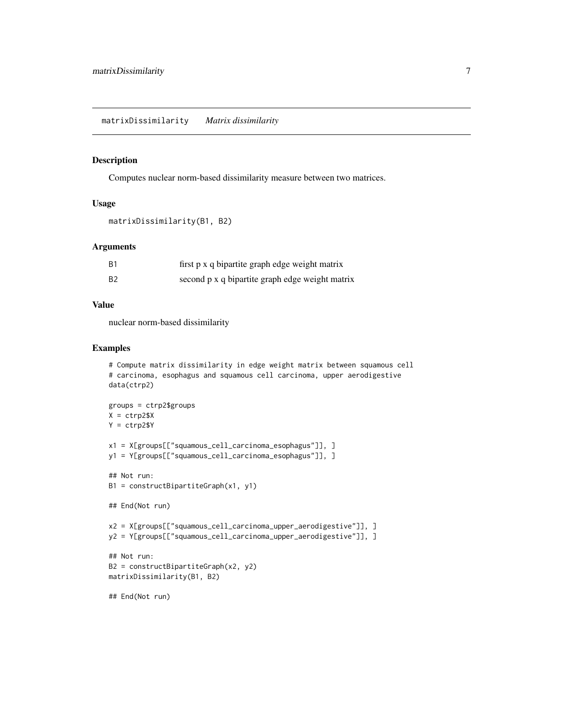<span id="page-6-0"></span>matrixDissimilarity *Matrix dissimilarity*

#### Description

Computes nuclear norm-based dissimilarity measure between two matrices.

#### Usage

```
matrixDissimilarity(B1, B2)
```
#### Arguments

| B1 | first p x q bipartite graph edge weight matrix  |
|----|-------------------------------------------------|
| B2 | second p x q bipartite graph edge weight matrix |

#### Value

nuclear norm-based dissimilarity

```
# Compute matrix dissimilarity in edge weight matrix between squamous cell
# carcinoma, esophagus and squamous cell carcinoma, upper aerodigestive
data(ctrp2)
groups = ctrp2$groups
X = ctrp2$XY = ctrp2$Yx1 = X[groups[["squamous_cell_carcinoma_esophagus"]], ]
y1 = Y[groups[["squamous_cell_carcinoma_esophagus"]], ]
## Not run:
B1 = constructBipartiteGraph(x1, y1)
## End(Not run)
x2 = X[groups[["squamous_cell_carcinoma_upper_aerodigestive"]], ]
y2 = Y[groups[["squamous_cell_carcinoma_upper_aerodigestive"]], ]
## Not run:
B2 = constructBipartiteGraph(x2, y2)
matrixDissimilarity(B1, B2)
## End(Not run)
```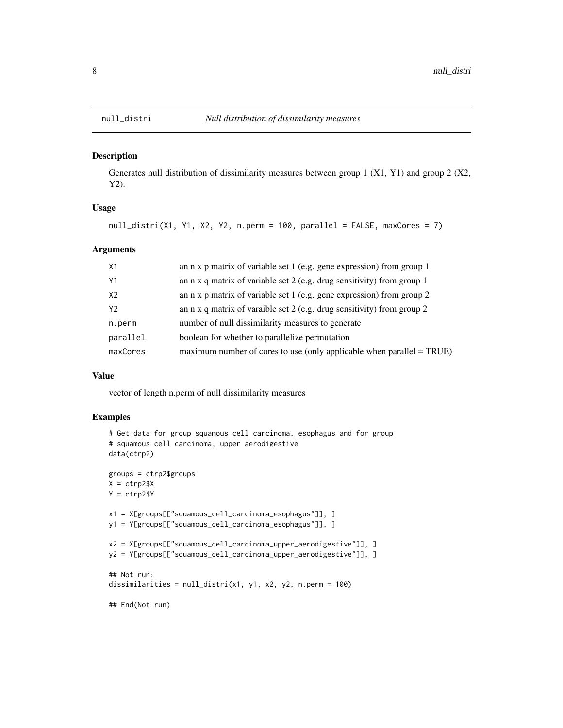<span id="page-7-0"></span>

#### Description

Generates null distribution of dissimilarity measures between group 1 (X1, Y1) and group 2 (X2, Y2).

#### Usage

null\_distri(X1, Y1, X2, Y2, n.perm = 100, parallel = FALSE, maxCores = 7)

#### Arguments

| X1       | an n x p matrix of variable set 1 (e.g. gene expression) from group 1           |
|----------|---------------------------------------------------------------------------------|
| Y1       | an $n \times q$ matrix of variable set 2 (e.g. drug sensitivity) from group 1   |
| X2       | an n x p matrix of variable set 1 (e.g. gene expression) from group 2           |
| Y2       | an $n \times q$ matrix of varaible set 2 (e.g. drug sensitivity) from group 2   |
| n.perm   | number of null dissimilarity measures to generate                               |
| parallel | boolean for whether to parallelize permutation                                  |
| maxCores | maximum number of cores to use (only applicable when parallel $= \text{TRUE}$ ) |

#### Value

vector of length n.perm of null dissimilarity measures

```
# Get data for group squamous cell carcinoma, esophagus and for group
# squamous cell carcinoma, upper aerodigestive
data(ctrp2)
groups = ctrp2$groups
X = \text{ctrp2$}XY = ctrp2$Yx1 = X[groups[["squamous_cell_carcinoma_esophagus"]], ]
y1 = Y[groups[["squamous_cell_carcinoma_esophagus"]], ]
x2 = X[groups[["squamous_cell_carcinoma_upper_aerodigestive"]], ]
y2 = Y[groups[["squamous_cell_carcinoma_upper_aerodigestive"]], ]
## Not run:
dissimilarities = null\_distri(x1, y1, x2, y2, n.perm = 100)## End(Not run)
```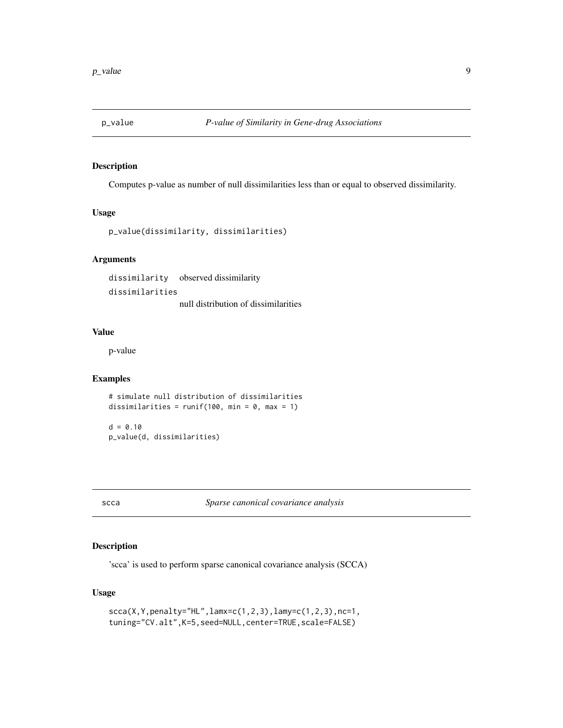<span id="page-8-0"></span>

#### Description

Computes p-value as number of null dissimilarities less than or equal to observed dissimilarity.

#### Usage

```
p_value(dissimilarity, dissimilarities)
```
#### Arguments

dissimilarity observed dissimilarity dissimilarities null distribution of dissimilarities

#### Value

p-value

#### Examples

```
# simulate null distribution of dissimilarities
dissimilarities = runif(100, min = 0, max = 1)
d = 0.10
```
p\_value(d, dissimilarities)

scca *Sparse canonical covariance analysis*

#### Description

'scca' is used to perform sparse canonical covariance analysis (SCCA)

#### Usage

```
scca(X,Y,penalty="HL",lamx=c(1,2,3),lamy=c(1,2,3),nc=1,
tuning="CV.alt",K=5,seed=NULL,center=TRUE,scale=FALSE)
```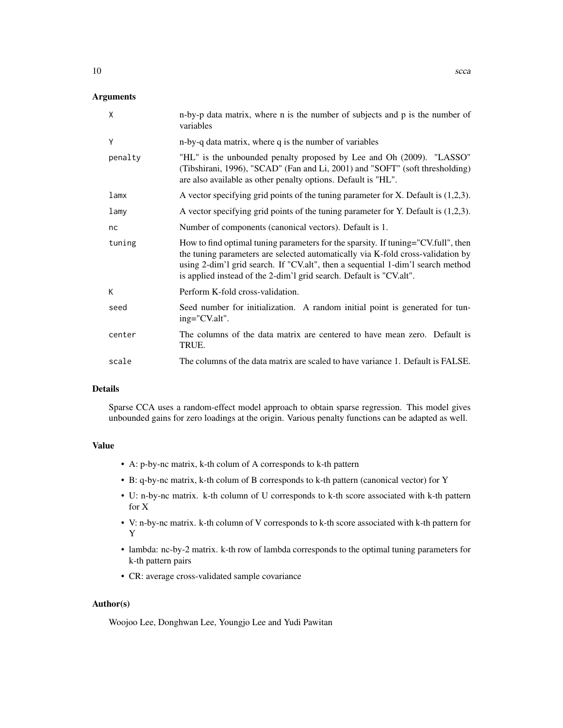#### Arguments

| X       | n-by-p data matrix, where n is the number of subjects and p is the number of<br>variables                                                                                                                                                                                                                                      |
|---------|--------------------------------------------------------------------------------------------------------------------------------------------------------------------------------------------------------------------------------------------------------------------------------------------------------------------------------|
| Y       | n-by-q data matrix, where q is the number of variables                                                                                                                                                                                                                                                                         |
| penalty | "HL" is the unbounded penalty proposed by Lee and Oh (2009). "LASSO"<br>(Tibshirani, 1996), "SCAD" (Fan and Li, 2001) and "SOFT" (soft thresholding)<br>are also available as other penalty options. Default is "HL".                                                                                                          |
| lamx    | A vector specifying grid points of the tuning parameter for $X$ . Default is $(1,2,3)$ .                                                                                                                                                                                                                                       |
| lamy    | A vector specifying grid points of the tuning parameter for Y. Default is $(1,2,3)$ .                                                                                                                                                                                                                                          |
| nc      | Number of components (canonical vectors). Default is 1.                                                                                                                                                                                                                                                                        |
| tuning  | How to find optimal tuning parameters for the sparsity. If tuning="CV.full", then<br>the tuning parameters are selected automatically via K-fold cross-validation by<br>using 2-dim'l grid search. If "CV.alt", then a sequential 1-dim'l search method<br>is applied instead of the 2-dim'l grid search. Default is "CV.alt". |
| K       | Perform K-fold cross-validation.                                                                                                                                                                                                                                                                                               |
| seed    | Seed number for initialization. A random initial point is generated for tun-<br>ing="CV.alt".                                                                                                                                                                                                                                  |
| center  | The columns of the data matrix are centered to have mean zero. Default is<br>TRUE.                                                                                                                                                                                                                                             |
| scale   | The columns of the data matrix are scaled to have variance 1. Default is FALSE.                                                                                                                                                                                                                                                |

#### Details

Sparse CCA uses a random-effect model approach to obtain sparse regression. This model gives unbounded gains for zero loadings at the origin. Various penalty functions can be adapted as well.

#### Value

- A: p-by-nc matrix, k-th colum of A corresponds to k-th pattern
- B: q-by-nc matrix, k-th colum of B corresponds to k-th pattern (canonical vector) for Y
- U: n-by-nc matrix. k-th column of U corresponds to k-th score associated with k-th pattern for X
- V: n-by-nc matrix. k-th column of V corresponds to k-th score associated with k-th pattern for Y
- lambda: nc-by-2 matrix. k-th row of lambda corresponds to the optimal tuning parameters for k-th pattern pairs
- CR: average cross-validated sample covariance

#### Author(s)

Woojoo Lee, Donghwan Lee, Youngjo Lee and Yudi Pawitan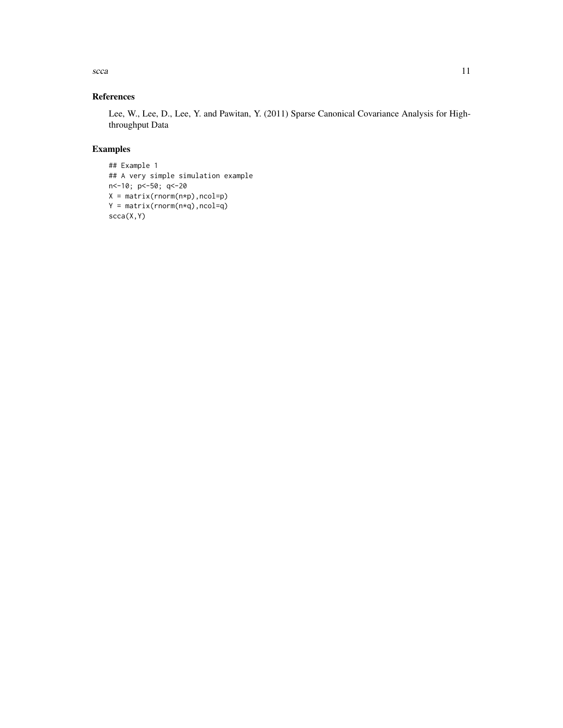$\mathbf{s}cca$  11

### References

Lee, W., Lee, D., Lee, Y. and Pawitan, Y. (2011) Sparse Canonical Covariance Analysis for Highthroughput Data

```
## Example 1
## A very simple simulation example
n<-10; p<-50; q<-20
X = matrix(rnorm(n*p),ncol=p)
Y = matrix(rnorm(n*q),ncol=q)
scca(X,Y)
```